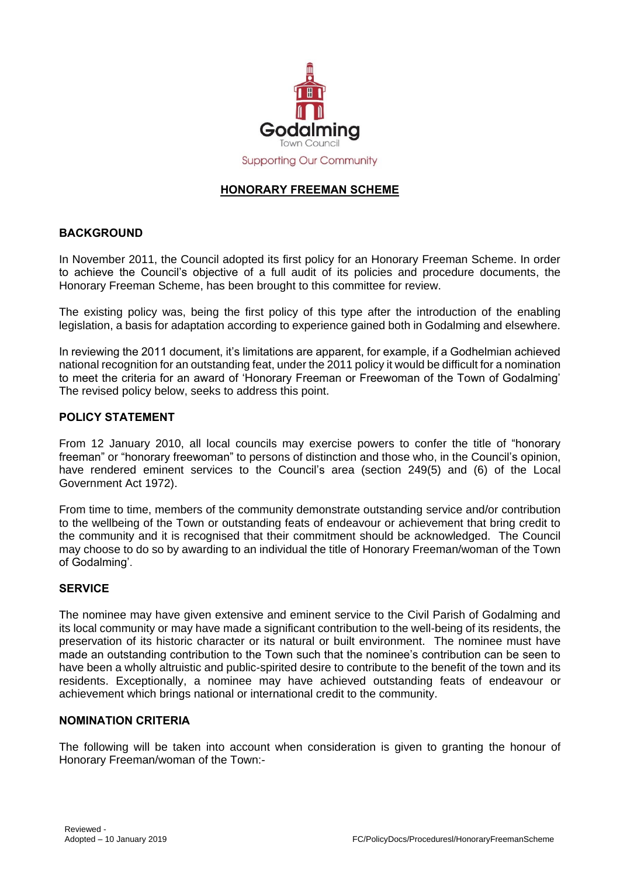

# **HONORARY FREEMAN SCHEME**

## **BACKGROUND**

In November 2011, the Council adopted its first policy for an Honorary Freeman Scheme. In order to achieve the Council's objective of a full audit of its policies and procedure documents, the Honorary Freeman Scheme, has been brought to this committee for review.

The existing policy was, being the first policy of this type after the introduction of the enabling legislation, a basis for adaptation according to experience gained both in Godalming and elsewhere.

In reviewing the 2011 document, it's limitations are apparent, for example, if a Godhelmian achieved national recognition for an outstanding feat, under the 2011 policy it would be difficult for a nomination to meet the criteria for an award of 'Honorary Freeman or Freewoman of the Town of Godalming' The revised policy below, seeks to address this point.

#### **POLICY STATEMENT**

From 12 January 2010, all local councils may exercise powers to confer the title of "honorary freeman" or "honorary freewoman" to persons of distinction and those who, in the Council's opinion, have rendered eminent services to the Council's area (section 249(5) and (6) of the Local Government Act 1972).

From time to time, members of the community demonstrate outstanding service and/or contribution to the wellbeing of the Town or outstanding feats of endeavour or achievement that bring credit to the community and it is recognised that their commitment should be acknowledged. The Council may choose to do so by awarding to an individual the title of Honorary Freeman/woman of the Town of Godalming'.

#### **SERVICE**

The nominee may have given extensive and eminent service to the Civil Parish of Godalming and its local community or may have made a significant contribution to the well-being of its residents, the preservation of its historic character or its natural or built environment. The nominee must have made an outstanding contribution to the Town such that the nominee's contribution can be seen to have been a wholly altruistic and public-spirited desire to contribute to the benefit of the town and its residents. Exceptionally, a nominee may have achieved outstanding feats of endeavour or achievement which brings national or international credit to the community.

#### **NOMINATION CRITERIA**

The following will be taken into account when consideration is given to granting the honour of Honorary Freeman/woman of the Town:-